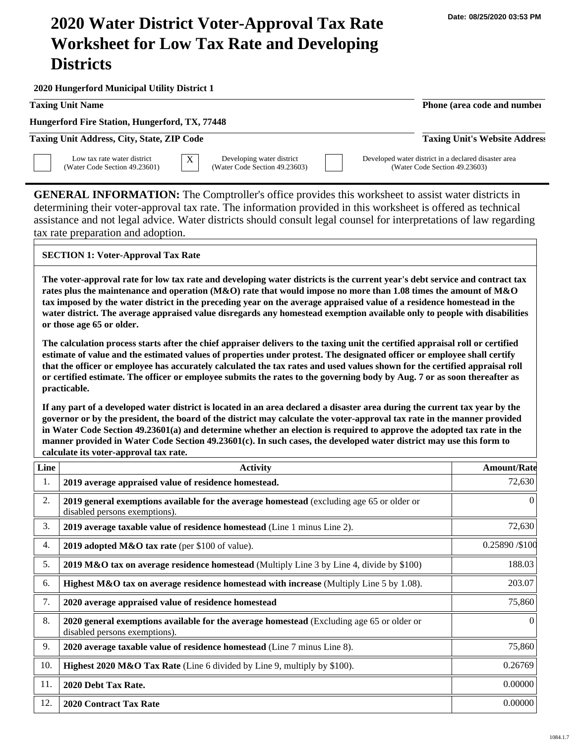## **2020 Water District Voter-Approval Tax Rate Worksheet for Low Tax Rate and Developing Districts**

**2020 Hungerford Municipal Utility District 1**

**Taxing Unit Name Phone (area code and number Phone (area code and number** 

**Hungerford Fire Station, Hungerford, TX, 77448**

**Taxing Unit Address, City, State, ZIP Code Taxing Unit's Website Address**

Low tax rate water district (Water Code Section 49.23601)  $\overline{X}$  Developing water district (Water Code Section 49.23603) Developed water district in a declared disaster area (Water Code Section 49.23603)

**GENERAL INFORMATION:** The Comptroller's office provides this worksheet to assist water districts in determining their voter-approval tax rate. The information provided in this worksheet is offered as technical assistance and not legal advice. Water districts should consult legal counsel for interpretations of law regarding tax rate preparation and adoption.

## **SECTION 1: Voter-Approval Tax Rate**

**The voter-approval rate for low tax rate and developing water districts is the current year's debt service and contract tax rates plus the maintenance and operation (M&O) rate that would impose no more than 1.08 times the amount of M&O tax imposed by the water district in the preceding year on the average appraised value of a residence homestead in the water district. The average appraised value disregards any homestead exemption available only to people with disabilities or those age 65 or older.**

**The calculation process starts after the chief appraiser delivers to the taxing unit the certified appraisal roll or certified estimate of value and the estimated values of properties under protest. The designated officer or employee shall certify that the officer or employee has accurately calculated the tax rates and used values shown for the certified appraisal roll or certified estimate. The officer or employee submits the rates to the governing body by Aug. 7 or as soon thereafter as practicable.**

**If any part of a developed water district is located in an area declared a disaster area during the current tax year by the governor or by the president, the board of the district may calculate the voter-approval tax rate in the manner provided in Water Code Section 49.23601(a) and determine whether an election is required to approve the adopted tax rate in the manner provided in Water Code Section 49.23601(c). In such cases, the developed water district may use this form to calculate its voter-approval tax rate.**

| Line | <b>Activity</b>                                                                                                            | <b>Amount/Rate</b> |
|------|----------------------------------------------------------------------------------------------------------------------------|--------------------|
| 1.   | 2019 average appraised value of residence homestead.                                                                       | 72,630             |
| 2.   | 2019 general exemptions available for the average homestead (excluding age 65 or older or<br>disabled persons exemptions). | $\theta$           |
| 3.   | 2019 average taxable value of residence homestead (Line 1 minus Line 2).                                                   | 72,630             |
| 4.   | 2019 adopted M&O tax rate (per \$100 of value).                                                                            | 0.25890/\$100      |
| 5.   | 2019 M&O tax on average residence homestead (Multiply Line 3 by Line 4, divide by \$100)                                   | 188.03             |
| 6.   | Highest M&O tax on average residence homestead with increase (Multiply Line 5 by 1.08).                                    | 203.07             |
| 7.   | 2020 average appraised value of residence homestead                                                                        | 75,860             |
| 8.   | 2020 general exemptions available for the average homestead (Excluding age 65 or older or<br>disabled persons exemptions). | $\theta$           |
| 9.   | 2020 average taxable value of residence homestead (Line 7 minus Line 8).                                                   | 75,860             |
| 10.  | Highest 2020 M&O Tax Rate (Line 6 divided by Line 9, multiply by \$100).                                                   | 0.26769            |
| 11.  | 2020 Debt Tax Rate.                                                                                                        | 0.00000            |
| 12.  | <b>2020 Contract Tax Rate</b>                                                                                              | 0.00000            |